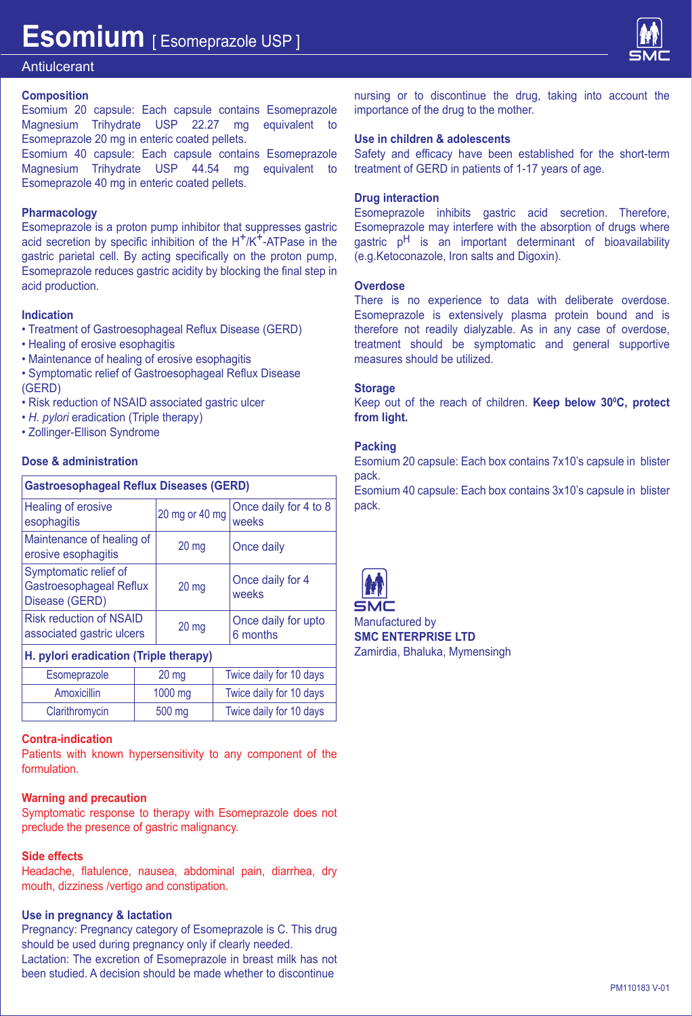

## **Antiulcerant**

### **Composition**

Esomium 20 capsule: Each capsule contains Esomeprazole Magnesium Trihydrate USP 22.27 mg equivalent to Esomeprazole 20 mg in enteric coated pellets. Esomium 40 capsule: Each capsule contains Esomeprazole

Magnesium Trihydrate USP 44.54 mg equivalent to Esomeprazole 40 mg in enteric coated pellets.

### **Pharmacology**

Esomeprazole is a proton pump inhibitor that suppresses gastric acid secretion by specific inhibition of the  $H^+/K^+$ -ATPase in the gastric parietal cell. By acting specifically on the proton pump, Esomeprazole reduces gastric acidity by blocking the final step in acid production.

### **Indication**

- Treatment of Gastroesophageal Reflux Disease (GERD)
- Healing of erosive esophagitis
- Maintenance of healing of erosive esophagitis
- Symptomatic relief of Gastroesophageal Reflux Disease (GERD)
- Risk reduction of NSAID associated gastric ulcer
- *H. pylori* eradication (Triple therapy)
- Zollinger-Ellison Syndrome

### **Dose & administration**

| <b>Gastroesophageal Reflux Diseases (GERD)</b>                     |                  |                                 |  |  |  |
|--------------------------------------------------------------------|------------------|---------------------------------|--|--|--|
| Healing of erosive<br>esophagitis                                  | 20 mg or 40 mg   | Once daily for 4 to 8<br>weeks  |  |  |  |
| Maintenance of healing of<br>erosive esophagitis                   | 20 <sub>mg</sub> | Once daily                      |  |  |  |
| Symptomatic relief of<br>Gastroesophageal Reflux<br>Disease (GERD) | 20 <sub>mg</sub> | Once daily for 4<br>weeks       |  |  |  |
| <b>Risk reduction of NSAID</b><br>associated gastric ulcers        | $20$ mg          | Once daily for upto<br>6 months |  |  |  |
| H nylori aradication (Trinla therany)                              |                  |                                 |  |  |  |

### **H. pylori eradication (Triple therapy)**

| Esomeprazole   | 20 <sub>mg</sub> | Twice daily for 10 days |
|----------------|------------------|-------------------------|
| Amoxicillin    | 1000 mg          | Twice daily for 10 days |
| Clarithromycin | 500 mg           | Twice daily for 10 days |

### **Contra-indication**

Patients with known hypersensitivity to any component of the formulation.

### **Warning and precaution**

Symptomatic response to therapy with Esomeprazole does not preclude the presence of gastric malignancy.

### **Side effects**

Headache, flatulence, nausea, abdominal pain, diarrhea, dry mouth, dizziness /vertigo and constipation.

### **Use in pregnancy & lactation**

Pregnancy: Pregnancy category of Esomeprazole is C. This drug should be used during pregnancy only if clearly needed. Lactation: The excretion of Esomeprazole in breast milk has not been studied. A decision should be made whether to discontinue

nursing or to discontinue the drug, taking into account the importance of the drug to the mother.

### **Use in children & adolescents**

Safety and efficacy have been established for the short-term treatment of GERD in patients of 1-17 years of age.

## **Drug interaction**

Esomeprazole inhibits gastric acid secretion. Therefore, Esomeprazole may interfere with the absorption of drugs where gastric p<sup>H</sup> is an important determinant of bioavailability (e.g.Ketoconazole, Iron salts and Digoxin).

## **Overdose**

There is no experience to data with deliberate overdose. Esomeprazole is extensively plasma protein bound and is therefore not readily dialyzable. As in any case of overdose, treatment should be symptomatic and general supportive measures should be utilized.

### **Storage**

Keep out of the reach of children. **Keep below 30°C, protect from light.**

### **Packing**

Esomium 20 capsule: Each box contains 7x10's capsule in blister pack.

Esomium 40 capsule: Each box contains 3x10's capsule in blister pack.



Manufactured by **SMC ENTERPRISE LTD** Zamirdia, Bhaluka, Mymensingh